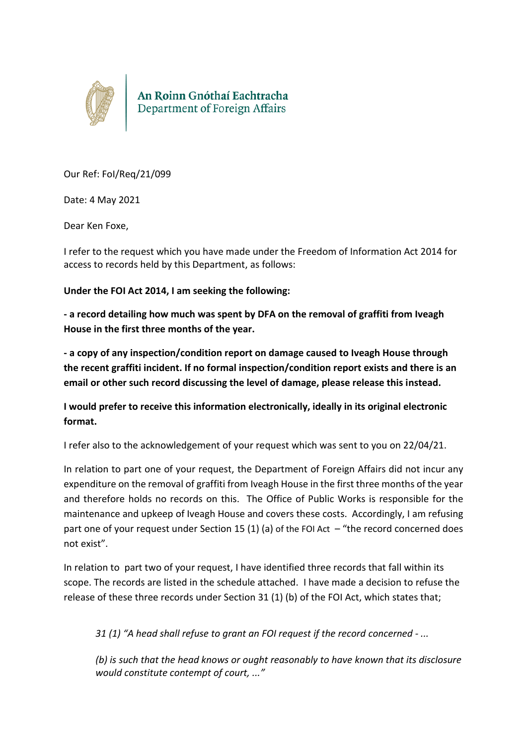

An Roinn Gnóthaí Eachtracha<br>Department of Foreign Affairs

Our Ref: FoI/Req/21/099

Date: 4 May 2021

Dear Ken Foxe,

I refer to the request which you have made under the Freedom of Information Act 2014 for access to records held by this Department, as follows:

**Under the FOI Act 2014, I am seeking the following:**

**- a record detailing how much was spent by DFA on the removal of graffiti from Iveagh House in the first three months of the year.**

**- a copy of any inspection/condition report on damage caused to Iveagh House through the recent graffiti incident. If no formal inspection/condition report exists and there is an email or other such record discussing the level of damage, please release this instead.**

**I would prefer to receive this information electronically, ideally in its original electronic format.**

I refer also to the acknowledgement of your request which was sent to you on 22/04/21.

In relation to part one of your request, the Department of Foreign Affairs did not incur any expenditure on the removal of graffiti from Iveagh House in the first three months of the year and therefore holds no records on this. The Office of Public Works is responsible for the maintenance and upkeep of Iveagh House and covers these costs. Accordingly, I am refusing part one of your request under Section 15 (1) (a) of the FOI Act – "the record concerned does not exist".

In relation to part two of your request, I have identified three records that fall within its scope. The records are listed in the schedule attached. I have made a decision to refuse the release of these three records under Section 31 (1) (b) of the FOI Act, which states that;

*31 (1) "A head shall refuse to grant an FOI request if the record concerned - ...* 

*(b) is such that the head knows or ought reasonably to have known that its disclosure would constitute contempt of court, ..."*